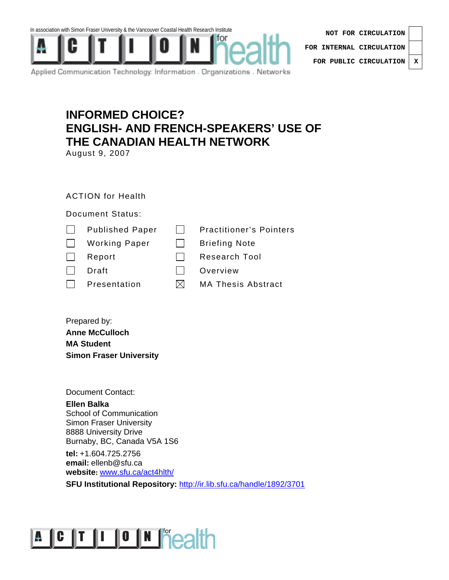



| NOT FOR CIRCULATION              |  |  |
|----------------------------------|--|--|
| FOR INTERNAL CIRCULATION $\vert$ |  |  |
| FOR PUBLIC CIRCULATION   X       |  |  |

Applied Communication Technology: Information . Organizations . Networks

## **INFORMED CHOICE? ENGLISH- AND FRENCH-SPEAKERS' USE OF THE CANADIAN HEALTH NETWORK**

August 9, 2007

### ACTION for Health

#### Document Status:

|              | <b>Published Paper</b> |     | <b>Practitioner's Pointers</b> |
|--------------|------------------------|-----|--------------------------------|
| $\mathbf{1}$ | <b>Working Paper</b>   |     | <b>Briefing Note</b>           |
|              | Report                 |     | <b>Research Tool</b>           |
|              | Draft                  |     | Overview                       |
|              | Presentation           | IХI | <b>MA Thesis Abstract</b>      |
|              |                        |     |                                |

Prepared by: **Anne McCulloch MA Student Simon Fraser University** 

Document Contact:

### **Ellen Balka**

School of Communication Simon Fraser University 8888 University Drive Burnaby, BC, Canada V5A 1S6

**tel:** +1.604.725.2756 **email:** ellenb@sfu.ca **website:** www.sfu.ca/act4hlth/

**SFU Institutional Repository: http://ir.lib.sfu.ca/handle/1892/3701**